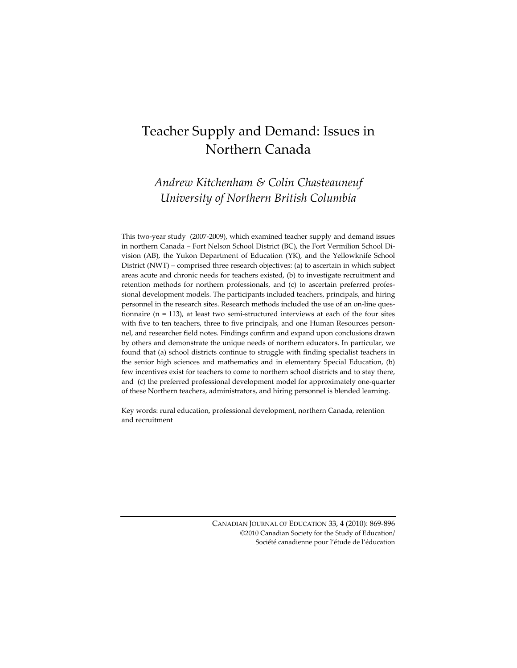# Teacher Supply and Demand: Issues in Northern Canada

*Andrew Kitchenham & Colin Chasteauneuf University of Northern British Columbia*

This two‐year study (2007‐2009), which examined teacher supply and demand issues in northern Canada – Fort Nelson School District (BC), the Fort Vermilion School Di‐ vision (AB), the Yukon Department of Education (YK), and the Yellowknife School District (NWT) – comprised three research objectives: (a) to ascertain in which subject areas acute and chronic needs for teachers existed, (b) to investigate recruitment and retention methods for northern professionals, and (c) to ascertain preferred profes‐ sional development models. The participants included teachers, principals, and hiring personnel in the research sites. Research methods included the use of an on‐line ques‐ tionnaire ( $n = 113$ ), at least two semi-structured interviews at each of the four sites with five to ten teachers, three to five principals, and one Human Resources personnel, and researcher field notes. Findings confirm and expand upon conclusions drawn by others and demonstrate the unique needs of northern educators. In particular, we found that (a) school districts continue to struggle with finding specialist teachers in the senior high sciences and mathematics and in elementary Special Education, (b) few incentives exist for teachers to come to northern school districts and to stay there, and (c) the preferred professional development model for approximately one‐quarter of these Northern teachers, administrators, and hiring personnel is blended learning.

Key words: rural education, professional development, northern Canada, retention and recruitment

> CANADIAN JOURNAL OF EDUCATION 33, 4 (2010): 869‐896 ©2010 Canadian Society for the Study of Education/ Société canadienne pour l'étude de l'éducation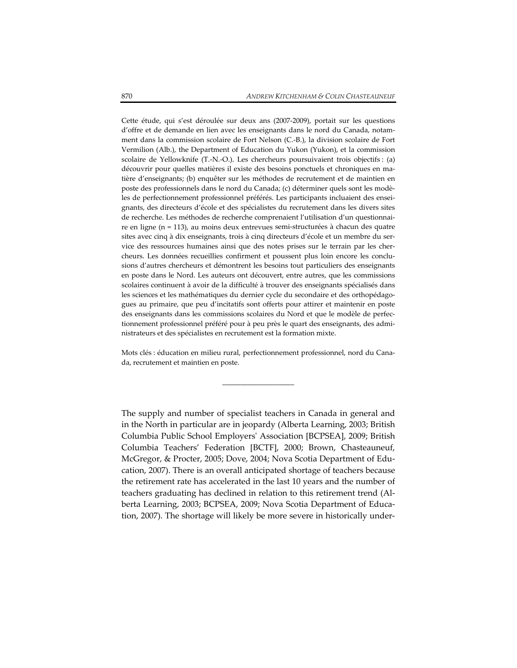Cette étude, qui s'est déroulée sur deux ans (2007‐2009), portait sur les questions d'offre et de demande en lien avec les enseignants dans le nord du Canada, notam‐ ment dans la commission scolaire de Fort Nelson (C.‐B.), la division scolaire de Fort Vermilion (Alb.), the Department of Education du Yukon (Yukon), et la commission scolaire de Yellowknife (T.‐N.‐O.). Les chercheurs poursuivaient trois objectifs : (a) découvrir pour quelles matières il existe des besoins ponctuels et chroniques en ma‐ tière d'enseignants; (b) enquêter sur les méthodes de recrutement et de maintien en poste des professionnels dans le nord du Canada; (c) déterminer quels sont les modè‐ les de perfectionnement professionnel préférés. Les participants incluaient des ensei‐ gnants, des directeurs d'école et des spécialistes du recrutement dans les divers sites de recherche. Les méthodes de recherche comprenaient l'utilisation d'un questionnaire en ligne (n = 113), au moins deux entrevues semi‐structurées à chacun des quatre sites avec cinq à dix enseignants, trois à cinq directeurs d'école et un membre du service des ressources humaines ainsi que des notes prises sur le terrain par les cher‐ cheurs. Les données recueillies confirment et poussent plus loin encore les conclu‐ sions d'autres chercheurs et démontrent les besoins tout particuliers des enseignants en poste dans le Nord. Les auteurs ont découvert, entre autres, que les commissions scolaires continuent à avoir de la difficulté à trouver des enseignants spécialisés dans les sciences et les mathématiques du dernier cycle du secondaire et des orthopédago‐ gues au primaire, que peu d'incitatifs sont offerts pour attirer et maintenir en poste des enseignants dans les commissions scolaires du Nord et que le modèle de perfec‐ tionnement professionnel préféré pour à peu près le quart des enseignants, des admi‐ nistrateurs et des spécialistes en recrutement est la formation mixte.

Mots clés : éducation en milieu rural, perfectionnement professionnel, nord du Cana‐ da, recrutement et maintien en poste.

\_\_\_\_\_\_\_\_\_\_\_\_\_\_\_\_\_\_\_\_

The supply and number of specialist teachers in Canada in general and in the North in particular are in jeopardy (Alberta Learning, 2003; British Columbia Public School Employersʹ Association [BCPSEA], 2009; British Columbia Teachers' Federation [BCTF], 2000; Brown, Chasteauneuf, McGregor, & Procter, 2005; Dove, 2004; Nova Scotia Department of Edu‐ cation, 2007). There is an overall anticipated shortage of teachers because the retirement rate has accelerated in the last 10 years and the number of teachers graduating has declined in relation to this retirement trend (Al‐ berta Learning, 2003; BCPSEA, 2009; Nova Scotia Department of Educa‐ tion, 2007). The shortage will likely be more severe in historically under‐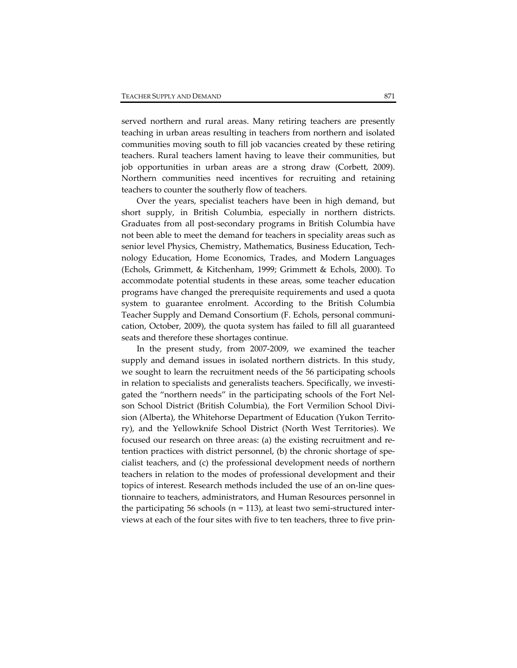served northern and rural areas. Many retiring teachers are presently teaching in urban areas resulting in teachers from northern and isolated communities moving south to fill job vacancies created by these retiring teachers. Rural teachers lament having to leave their communities, but job opportunities in urban areas are a strong draw (Corbett, 2009). Northern communities need incentives for recruiting and retaining teachers to counter the southerly flow of teachers.

Over the years, specialist teachers have been in high demand, but short supply, in British Columbia, especially in northern districts. Graduates from all post‐secondary programs in British Columbia have not been able to meet the demand for teachers in speciality areas such as senior level Physics, Chemistry, Mathematics, Business Education, Tech‐ nology Education, Home Economics, Trades, and Modern Languages (Echols, Grimmett, & Kitchenham, 1999; Grimmett & Echols, 2000). To accommodate potential students in these areas, some teacher education programs have changed the prerequisite requirements and used a quota system to guarantee enrolment. According to the British Columbia Teacher Supply and Demand Consortium (F. Echols, personal communi‐ cation, October, 2009), the quota system has failed to fill all guaranteed seats and therefore these shortages continue.

In the present study, from 2007‐2009, we examined the teacher supply and demand issues in isolated northern districts. In this study, we sought to learn the recruitment needs of the 56 participating schools in relation to specialists and generalists teachers. Specifically, we investigated the "northern needs" in the participating schools of the Fort Nel‐ son School District (British Columbia), the Fort Vermilion School Division (Alberta), the Whitehorse Department of Education (Yukon Territory), and the Yellowknife School District (North West Territories). We focused our research on three areas: (a) the existing recruitment and re‐ tention practices with district personnel, (b) the chronic shortage of spe‐ cialist teachers, and (c) the professional development needs of northern teachers in relation to the modes of professional development and their topics of interest. Research methods included the use of an on-line questionnaire to teachers, administrators, and Human Resources personnel in the participating 56 schools ( $n = 113$ ), at least two semi-structured interviews at each of the four sites with five to ten teachers, three to five prin‐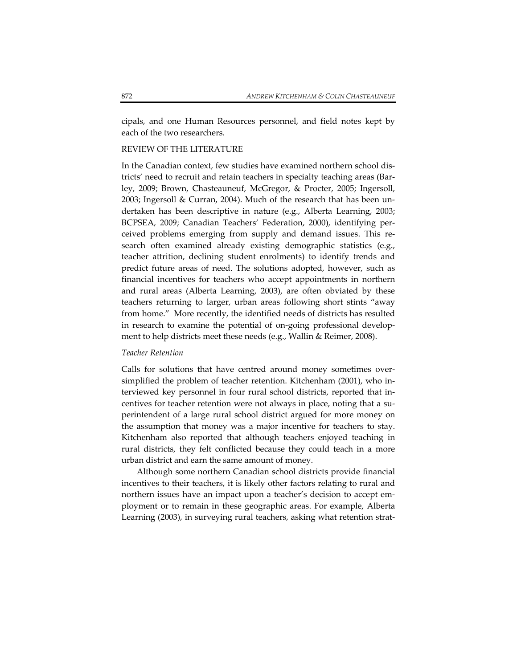cipals, and one Human Resources personnel, and field notes kept by each of the two researchers.

## REVIEW OF THE LITERATURE

In the Canadian context, few studies have examined northern school dis‐ tricts' need to recruit and retain teachers in specialty teaching areas (Bar‐ ley, 2009; Brown, Chasteauneuf, McGregor, & Procter, 2005; Ingersoll, 2003; Ingersoll & Curran, 2004). Much of the research that has been un‐ dertaken has been descriptive in nature (e.g., Alberta Learning, 2003; BCPSEA, 2009; Canadian Teachers' Federation, 2000), identifying per‐ ceived problems emerging from supply and demand issues. This re‐ search often examined already existing demographic statistics (e.g., teacher attrition, declining student enrolments) to identify trends and predict future areas of need. The solutions adopted, however, such as financial incentives for teachers who accept appointments in northern and rural areas (Alberta Learning, 2003), are often obviated by these teachers returning to larger, urban areas following short stints "away from home." More recently, the identified needs of districts has resulted in research to examine the potential of on‐going professional develop‐ ment to help districts meet these needs (e.g., Wallin & Reimer, 2008).

## *Teacher Retention*

Calls for solutions that have centred around money sometimes over‐ simplified the problem of teacher retention. Kitchenham (2001), who interviewed key personnel in four rural school districts, reported that in‐ centives for teacher retention were not always in place, noting that a superintendent of a large rural school district argued for more money on the assumption that money was a major incentive for teachers to stay. Kitchenham also reported that although teachers enjoyed teaching in rural districts, they felt conflicted because they could teach in a more urban district and earn the same amount of money.

Although some northern Canadian school districts provide financial incentives to their teachers, it is likely other factors relating to rural and northern issues have an impact upon a teacher's decision to accept em‐ ployment or to remain in these geographic areas. For example, Alberta Learning (2003), in surveying rural teachers, asking what retention strat‐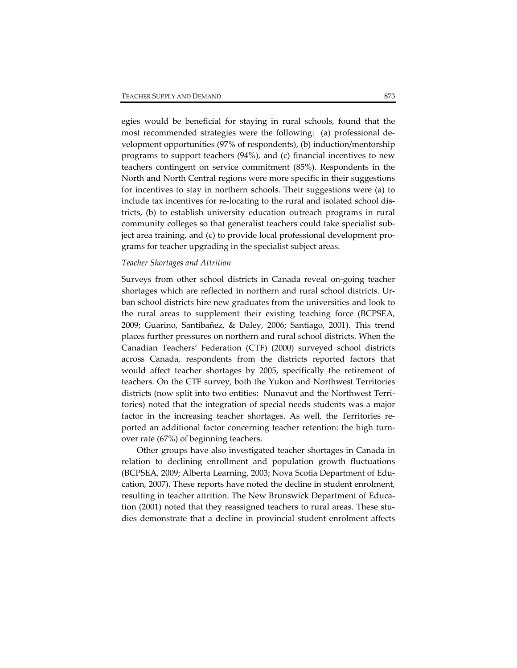egies would be beneficial for staying in rural schools, found that the most recommended strategies were the following: (a) professional de‐ velopment opportunities (97% of respondents), (b) induction/mentorship programs to support teachers (94%), and (c) financial incentives to new teachers contingent on service commitment (85%). Respondents in the North and North Central regions were more specific in their suggestions for incentives to stay in northern schools. Their suggestions were (a) to include tax incentives for re‐locating to the rural and isolated school dis‐ tricts, (b) to establish university education outreach programs in rural community colleges so that generalist teachers could take specialist sub‐ ject area training, and (c) to provide local professional development pro‐ grams for teacher upgrading in the specialist subject areas.

## *Teacher Shortages and Attrition*

Surveys from other school districts in Canada reveal on‐going teacher shortages which are reflected in northern and rural school districts. Ur‐ ban school districts hire new graduates from the universities and look to the rural areas to supplement their existing teaching force (BCPSEA, 2009; Guarino, Santibañez, & Daley, 2006; Santiago, 2001). This trend places further pressures on northern and rural school districts. When the Canadian Teachers' Federation (CTF) (2000) surveyed school districts across Canada, respondents from the districts reported factors that would affect teacher shortages by 2005, specifically the retirement of teachers. On the CTF survey, both the Yukon and Northwest Territories districts (now split into two entities: Nunavut and the Northwest Terri‐ tories) noted that the integration of special needs students was a major factor in the increasing teacher shortages. As well, the Territories reported an additional factor concerning teacher retention: the high turn‐ over rate (67%) of beginning teachers.

Other groups have also investigated teacher shortages in Canada in relation to declining enrollment and population growth fluctuations (BCPSEA, 2009; Alberta Learning, 2003; Nova Scotia Department of Edu‐ cation, 2007). These reports have noted the decline in student enrolment, resulting in teacher attrition. The New Brunswick Department of Education (2001) noted that they reassigned teachers to rural areas. These stu‐ dies demonstrate that a decline in provincial student enrolment affects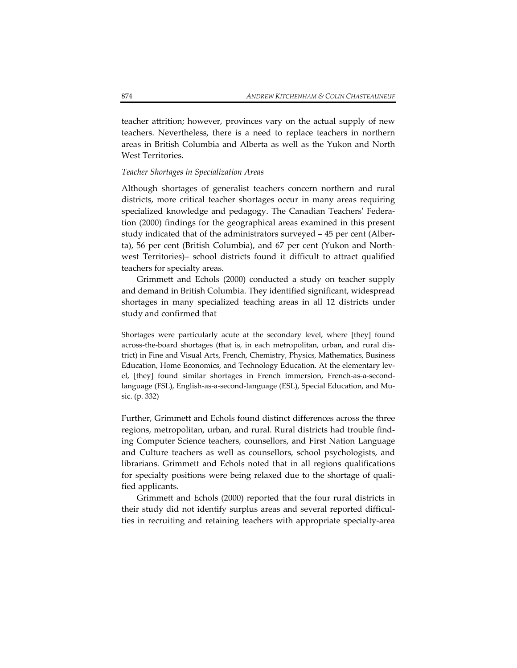teacher attrition; however, provinces vary on the actual supply of new teachers. Nevertheless, there is a need to replace teachers in northern areas in British Columbia and Alberta as well as the Yukon and North West Territories.

## *Teacher Shortages in Specialization Areas*

Although shortages of generalist teachers concern northern and rural districts, more critical teacher shortages occur in many areas requiring specialized knowledge and pedagogy. The Canadian Teachers' Federation (2000) findings for the geographical areas examined in this present study indicated that of the administrators surveyed – 45 per cent (Alber‐ ta), 56 per cent (British Columbia), and 67 per cent (Yukon and North‐ west Territories)– school districts found it difficult to attract qualified teachers for specialty areas.

Grimmett and Echols (2000) conducted a study on teacher supply and demand in British Columbia. They identified significant, widespread shortages in many specialized teaching areas in all 12 districts under study and confirmed that

Shortages were particularly acute at the secondary level, where [they] found across-the-board shortages (that is, in each metropolitan, urban, and rural district) in Fine and Visual Arts, French, Chemistry, Physics, Mathematics, Business Education, Home Economics, and Technology Education. At the elementary level, [they] found similar shortages in French immersion, French‐as‐a‐second‐ language (FSL), English‐as‐a‐second‐language (ESL), Special Education, and Mu‐ sic. (p. 332)

Further, Grimmett and Echols found distinct differences across the three regions, metropolitan, urban, and rural. Rural districts had trouble find‐ ing Computer Science teachers, counsellors, and First Nation Language and Culture teachers as well as counsellors, school psychologists, and librarians. Grimmett and Echols noted that in all regions qualifications for specialty positions were being relaxed due to the shortage of quali‐ fied applicants.

Grimmett and Echols (2000) reported that the four rural districts in their study did not identify surplus areas and several reported difficul‐ ties in recruiting and retaining teachers with appropriate specialty‐area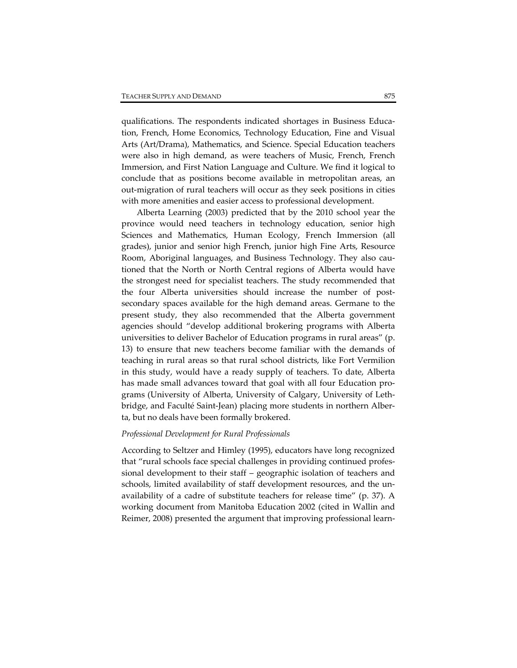qualifications. The respondents indicated shortages in Business Educa‐ tion, French, Home Economics, Technology Education, Fine and Visual Arts (Art/Drama), Mathematics, and Science. Special Education teachers were also in high demand, as were teachers of Music, French, French Immersion, and First Nation Language and Culture. We find it logical to conclude that as positions become available in metropolitan areas, an out‐migration of rural teachers will occur as they seek positions in cities with more amenities and easier access to professional development.

Alberta Learning (2003) predicted that by the 2010 school year the province would need teachers in technology education, senior high Sciences and Mathematics, Human Ecology, French Immersion (all grades), junior and senior high French, junior high Fine Arts, Resource Room, Aboriginal languages, and Business Technology. They also cau‐ tioned that the North or North Central regions of Alberta would have the strongest need for specialist teachers. The study recommended that the four Alberta universities should increase the number of postsecondary spaces available for the high demand areas. Germane to the present study, they also recommended that the Alberta government agencies should "develop additional brokering programs with Alberta universities to deliver Bachelor of Education programs in rural areas" (p. 13) to ensure that new teachers become familiar with the demands of teaching in rural areas so that rural school districts, like Fort Vermilion in this study, would have a ready supply of teachers. To date, Alberta has made small advances toward that goal with all four Education pro‐ grams (University of Alberta, University of Calgary, University of Leth‐ bridge, and Faculté Saint‐Jean) placing more students in northern Alber‐ ta, but no deals have been formally brokered.

#### *Professional Development for Rural Professionals*

According to Seltzer and Himley (1995), educators have long recognized that "rural schools face special challenges in providing continued profes‐ sional development to their staff – geographic isolation of teachers and schools, limited availability of staff development resources, and the un‐ availability of a cadre of substitute teachers for release time" (p. 37). A working document from Manitoba Education 2002 (cited in Wallin and Reimer, 2008) presented the argument that improving professional learn‐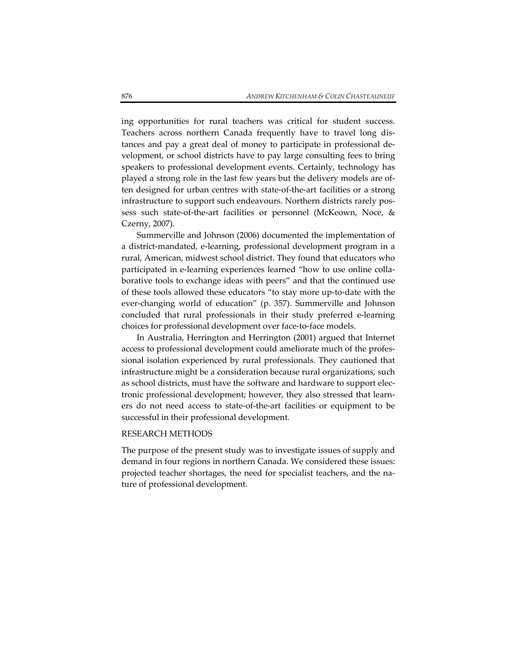ing opportunities for rural teachers was critical for student success. Teachers across northern Canada frequently have to travel long dis‐ tances and pay a great deal of money to participate in professional de‐ velopment, or school districts have to pay large consulting fees to bring speakers to professional development events. Certainly, technology has played a strong role in the last few years but the delivery models are of‐ ten designed for urban centres with state‐of‐the‐art facilities or a strong infrastructure to support such endeavours. Northern districts rarely pos‐ sess such state-of-the-art facilities or personnel (McKeown, Noce, & Czerny, 2007).

Summerville and Johnson (2006) documented the implementation of a district‐mandated, e‐learning, professional development program in a rural, American, midwest school district. They found that educators who participated in e-learning experiences learned "how to use online collaborative tools to exchange ideas with peers" and that the continued use of these tools allowed these educators "to stay more up‐to‐date with the ever-changing world of education" (p. 357). Summerville and Johnson concluded that rural professionals in their study preferred e‐learning choices for professional development over face‐to‐face models.

In Australia, Herrington and Herrington (2001) argued that Internet access to professional development could ameliorate much of the profes‐ sional isolation experienced by rural professionals. They cautioned that infrastructure might be a consideration because rural organizations, such as school districts, must have the software and hardware to support elec‐ tronic professional development; however, they also stressed that learners do not need access to state‐of‐the‐art facilities or equipment to be successful in their professional development.

#### RESEARCH METHODS

The purpose of the present study was to investigate issues of supply and demand in four regions in northern Canada. We considered these issues: projected teacher shortages, the need for specialist teachers, and the nature of professional development.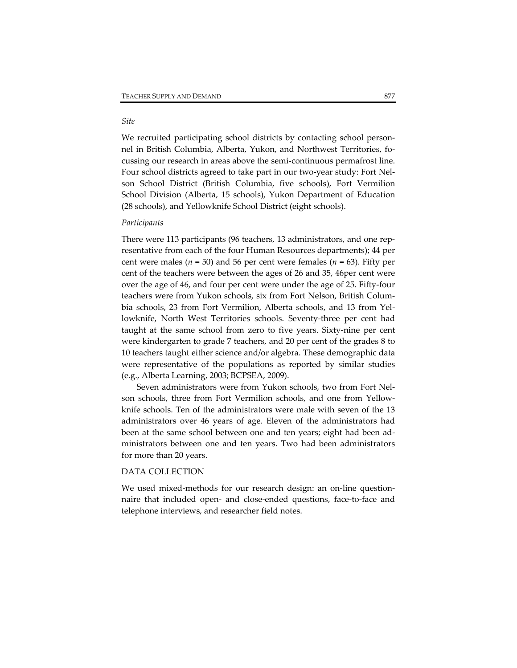## *Site*

We recruited participating school districts by contacting school personnel in British Columbia, Alberta, Yukon, and Northwest Territories, focussing our research in areas above the semi‐continuous permafrost line. Four school districts agreed to take part in our two-year study: Fort Nelson School District (British Columbia, five schools), Fort Vermilion School Division (Alberta, 15 schools), Yukon Department of Education (28 schools), and Yellowknife School District (eight schools).

## *Participants*

There were 113 participants (96 teachers, 13 administrators, and one rep‐ resentative from each of the four Human Resources departments); 44 per cent were males ( $n = 50$ ) and 56 per cent were females ( $n = 63$ ). Fifty per cent of the teachers were between the ages of 26 and 35, 46per cent were over the age of 46, and four per cent were under the age of 25. Fifty‐four teachers were from Yukon schools, six from Fort Nelson, British Colum‐ bia schools, 23 from Fort Vermilion, Alberta schools, and 13 from Yellowknife, North West Territories schools. Seventy‐three per cent had taught at the same school from zero to five years. Sixty‐nine per cent were kindergarten to grade 7 teachers, and 20 per cent of the grades 8 to 10 teachers taught either science and/or algebra. These demographic data were representative of the populations as reported by similar studies (e.g., Alberta Learning, 2003; BCPSEA, 2009).

Seven administrators were from Yukon schools, two from Fort Nel‐ son schools, three from Fort Vermilion schools, and one from Yellow‐ knife schools. Ten of the administrators were male with seven of the 13 administrators over 46 years of age. Eleven of the administrators had been at the same school between one and ten years; eight had been administrators between one and ten years. Two had been administrators for more than 20 years.

## DATA COLLECTION

We used mixed-methods for our research design: an on-line questionnaire that included open‐ and close‐ended questions, face‐to‐face and telephone interviews, and researcher field notes.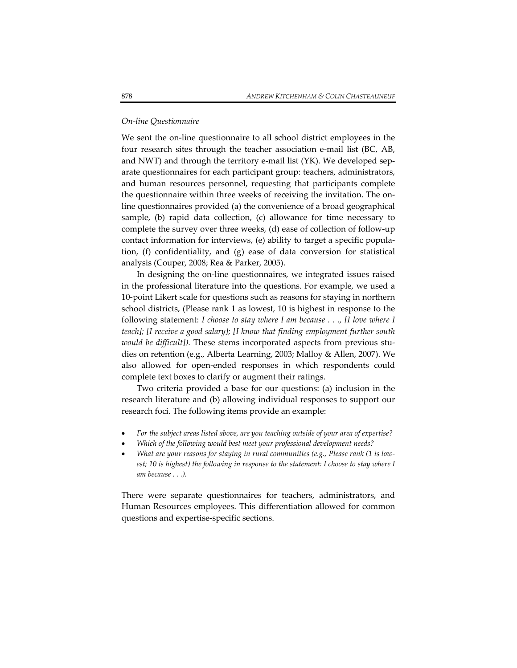## *On‐line Questionnaire*

We sent the on-line questionnaire to all school district employees in the four research sites through the teacher association e‐mail list (BC, AB, and NWT) and through the territory e-mail list  $(YK)$ . We developed separate questionnaires for each participant group: teachers, administrators, and human resources personnel, requesting that participants complete the questionnaire within three weeks of receiving the invitation. The on‐ line questionnaires provided (a) the convenience of a broad geographical sample, (b) rapid data collection, (c) allowance for time necessary to complete the survey over three weeks, (d) ease of collection of follow‐up contact information for interviews, (e) ability to target a specific popula‐ tion, (f) confidentiality, and (g) ease of data conversion for statistical analysis (Couper, 2008; Rea & Parker, 2005).

In designing the on‐line questionnaires, we integrated issues raised in the professional literature into the questions. For example, we used a 10‐point Likert scale for questions such as reasons for staying in northern school districts, (Please rank 1 as lowest, 10 is highest in response to the following statement: *I choose to stay where I am because . . ., [I love where I teach]; [I receive a good salary]; [I know that finding employment further south would be difficult]).* These stems incorporated aspects from previous stu‐ dies on retention (e.g., Alberta Learning, 2003; Malloy & Allen, 2007). We also allowed for open‐ended responses in which respondents could complete text boxes to clarify or augment their ratings.

Two criteria provided a base for our questions: (a) inclusion in the research literature and (b) allowing individual responses to support our research foci. The following items provide an example:

- *For the subject areas listed above, are you teaching outside of your area of expertise?*
- *Which of the following would best meet your professional development needs?*
- *What are your reasons for staying in rural communities (e.g., Please rank (1 is low‐ est; 10 is highest) the following in response to the statement: I choose to stay where I am because . . .).*

There were separate questionnaires for teachers, administrators, and Human Resources employees. This differentiation allowed for common questions and expertise‐specific sections.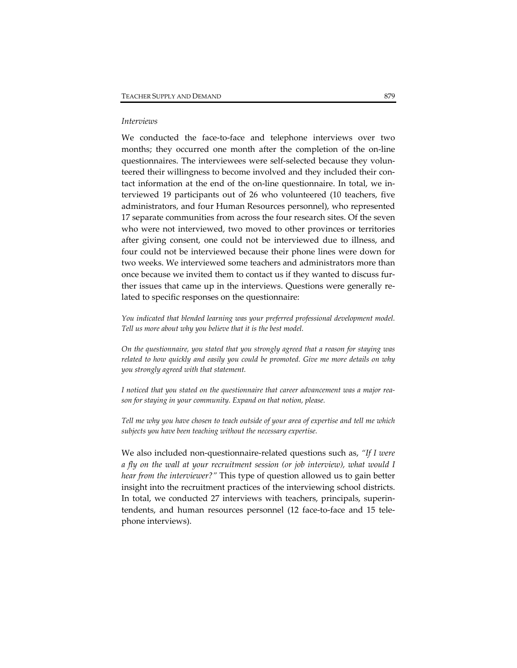## *Interviews*

We conducted the face-to-face and telephone interviews over two months; they occurred one month after the completion of the on‐line questionnaires. The interviewees were self‐selected because they volun‐ teered their willingness to become involved and they included their contact information at the end of the on‐line questionnaire. In total, we in‐ terviewed 19 participants out of 26 who volunteered (10 teachers, five administrators, and four Human Resources personnel), who represented 17 separate communities from across the four research sites. Of the seven who were not interviewed, two moved to other provinces or territories after giving consent, one could not be interviewed due to illness, and four could not be interviewed because their phone lines were down for two weeks. We interviewed some teachers and administrators more than once because we invited them to contact us if they wanted to discuss fur‐ ther issues that came up in the interviews. Questions were generally re‐ lated to specific responses on the questionnaire:

*You indicated that blended learning was your preferred professional development model. Tell us more about why you believe that it is the best model.* 

*On the questionnaire, you stated that you strongly agreed that a reason for staying was related to how quickly and easily you could be promoted. Give me more details on why you strongly agreed with that statement.*

*I noticed that you stated on the questionnaire that career advancement was a major rea‐ son for staying in your community. Expand on that notion, please.*

*Tell me why you have chosen to teach outside of your area of expertise and tell me which subjects you have been teaching without the necessary expertise.*

We also included non‐questionnaire‐related questions such as, *"If I were a fly on the wall at your recruitment session (or job interview), what would I hear from the interviewer?"* This type of question allowed us to gain better insight into the recruitment practices of the interviewing school districts. In total, we conducted 27 interviews with teachers, principals, superin‐ tendents, and human resources personnel (12 face‐to‐face and 15 tele‐ phone interviews).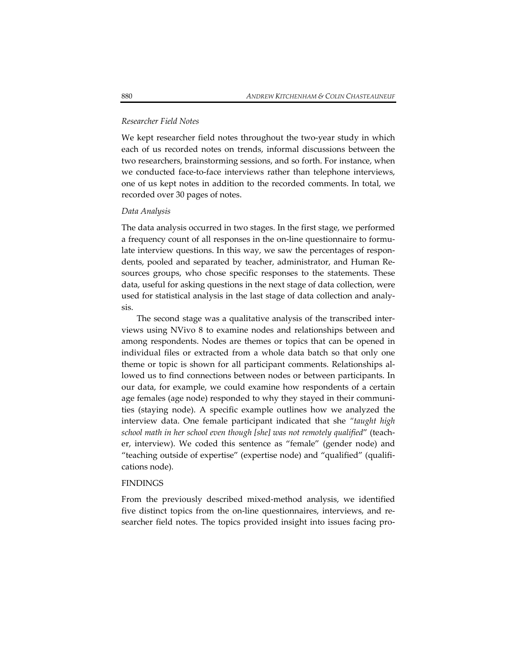## *Researcher Field Notes*

We kept researcher field notes throughout the two-year study in which each of us recorded notes on trends, informal discussions between the two researchers, brainstorming sessions, and so forth. For instance, when we conducted face-to-face interviews rather than telephone interviews, one of us kept notes in addition to the recorded comments. In total, we recorded over 30 pages of notes.

#### *Data Analysis*

The data analysis occurred in two stages. In the first stage, we performed a frequency count of all responses in the on‐line questionnaire to formu‐ late interview questions. In this way, we saw the percentages of respondents, pooled and separated by teacher, administrator, and Human Re‐ sources groups, who chose specific responses to the statements. These data, useful for asking questions in the next stage of data collection, were used for statistical analysis in the last stage of data collection and analy‐ sis.

The second stage was a qualitative analysis of the transcribed inter‐ views using NVivo 8 to examine nodes and relationships between and among respondents. Nodes are themes or topics that can be opened in individual files or extracted from a whole data batch so that only one theme or topic is shown for all participant comments. Relationships al‐ lowed us to find connections between nodes or between participants. In our data, for example, we could examine how respondents of a certain age females (age node) responded to why they stayed in their communities (staying node). A specific example outlines how we analyzed the interview data. One female participant indicated that she *"taught high school math in her school even though [she] was not remotely qualified*" (teach‐ er, interview). We coded this sentence as "female" (gender node) and "teaching outside of expertise" (expertise node) and "qualified" (qualifi‐ cations node).

#### FINDINGS

From the previously described mixed-method analysis, we identified five distinct topics from the on-line questionnaires, interviews, and researcher field notes. The topics provided insight into issues facing pro‐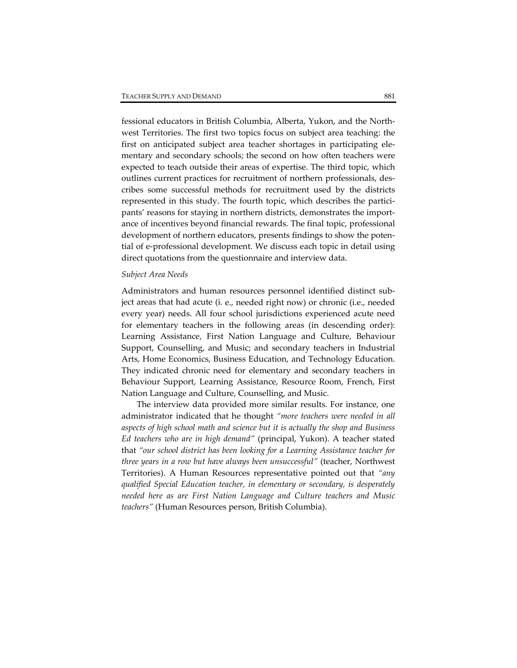fessional educators in British Columbia, Alberta, Yukon, and the North‐ west Territories. The first two topics focus on subject area teaching: the first on anticipated subject area teacher shortages in participating elementary and secondary schools; the second on how often teachers were expected to teach outside their areas of expertise. The third topic, which outlines current practices for recruitment of northern professionals, des‐ cribes some successful methods for recruitment used by the districts represented in this study. The fourth topic, which describes the participants' reasons for staying in northern districts, demonstrates the importance of incentives beyond financial rewards. The final topic, professional development of northern educators, presents findings to show the potential of e‐professional development. We discuss each topic in detail using direct quotations from the questionnaire and interview data.

## *Subject Area Needs*

Administrators and human resources personnel identified distinct sub‐ ject areas that had acute (i. e., needed right now) or chronic (i.e., needed every year) needs. All four school jurisdictions experienced acute need for elementary teachers in the following areas (in descending order): Learning Assistance, First Nation Language and Culture, Behaviour Support, Counselling, and Music; and secondary teachers in Industrial Arts, Home Economics, Business Education, and Technology Education. They indicated chronic need for elementary and secondary teachers in Behaviour Support, Learning Assistance, Resource Room, French, First Nation Language and Culture, Counselling, and Music.

The interview data provided more similar results. For instance, one administrator indicated that he thought *"more teachers were needed in all aspects of high school math and science but it is actually the shop and Business Ed teachers who are in high demand"* (principal, Yukon). A teacher stated that *"our school district has been looking for a Learning Assistance teacher for three years in a row but have always been unsuccessful"* (teacher, Northwest Territories). A Human Resources representative pointed out that *"any qualified Special Education teacher, in elementary or secondary, is desperately needed here as are First Nation Language and Culture teachers and Music teachers"* (Human Resources person, British Columbia).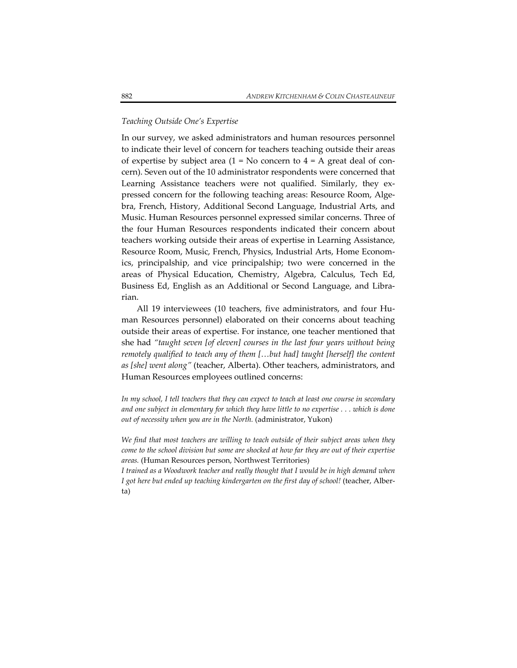## *Teaching Outside One's Expertise*

In our survey, we asked administrators and human resources personnel to indicate their level of concern for teachers teaching outside their areas of expertise by subject area  $(1 = No$  concern to  $4 = A$  great deal of concern). Seven out of the 10 administrator respondents were concerned that Learning Assistance teachers were not qualified. Similarly, they expressed concern for the following teaching areas: Resource Room, Algebra, French, History, Additional Second Language, Industrial Arts, and Music. Human Resources personnel expressed similar concerns. Three of the four Human Resources respondents indicated their concern about teachers working outside their areas of expertise in Learning Assistance, Resource Room, Music, French, Physics, Industrial Arts, Home Econom‐ ics, principalship, and vice principalship; two were concerned in the areas of Physical Education, Chemistry, Algebra, Calculus, Tech Ed, Business Ed, English as an Additional or Second Language, and Libra‐ rian.

All 19 interviewees (10 teachers, five administrators, and four Human Resources personnel) elaborated on their concerns about teaching outside their areas of expertise. For instance, one teacher mentioned that she had *"taught seven [of eleven] courses in the last four years without being remotely qualified to teach any of them […but had] taught [herself] the content as [she] went along"* (teacher, Alberta). Other teachers, administrators, and Human Resources employees outlined concerns:

*In my school, I tell teachers that they can expect to teach at least one course in secondary* and one subject in elementary for which they have little to no expertise  $\ldots$  which is done *out of necessity when you are in the North.* (administrator, Yukon)

*We find that most teachers are willing to teach outside of their subject areas when they come to the school division but some are shocked at how far they are out of their expertise areas.* (Human Resources person, Northwest Territories)

*I trained as a Woodwork teacher and really thought that I would be in high demand when I got here but ended up teaching kindergarten on the first day of school!* (teacher, Alber‐ ta)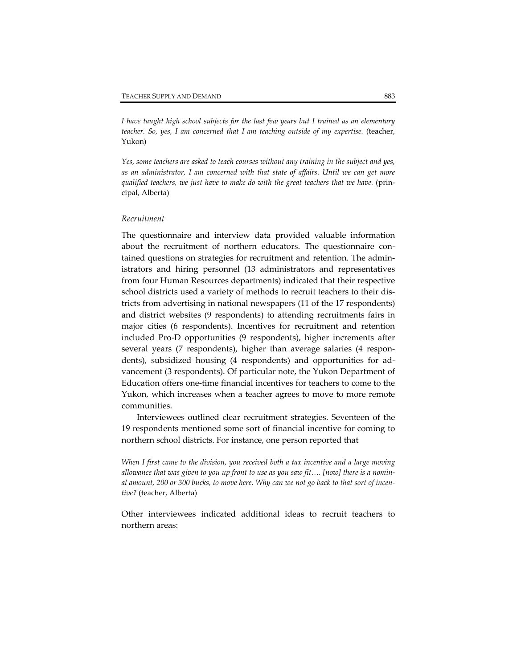*I have taught high school subjects for the last few years but I trained as an elementary teacher. So, yes, I am concerned that I am teaching outside of my expertise.* (teacher, Yukon)

*Yes, some teachers are asked to teach courses without any training in the subject and yes, as an administrator, I am concerned with that state of affairs. Until we can get more qualified teachers, we just have to make do with the great teachers that we have.* (prin‐ cipal, Alberta)

## *Recruitment*

The questionnaire and interview data provided valuable information about the recruitment of northern educators. The questionnaire contained questions on strategies for recruitment and retention. The admin‐ istrators and hiring personnel (13 administrators and representatives from four Human Resources departments) indicated that their respective school districts used a variety of methods to recruit teachers to their dis‐ tricts from advertising in national newspapers (11 of the 17 respondents) and district websites (9 respondents) to attending recruitments fairs in major cities (6 respondents). Incentives for recruitment and retention included Pro‐D opportunities (9 respondents), higher increments after several years (7 respondents), higher than average salaries (4 respondents), subsidized housing (4 respondents) and opportunities for ad‐ vancement (3 respondents). Of particular note, the Yukon Department of Education offers one‐time financial incentives for teachers to come to the Yukon, which increases when a teacher agrees to move to more remote communities.

Interviewees outlined clear recruitment strategies. Seventeen of the 19 respondents mentioned some sort of financial incentive for coming to northern school districts. For instance, one person reported that

*When I first came to the division, you received both a tax incentive and a large moving* allowance that was given to you up front to use as you saw fit.... [now] there is a nominal amount, 200 or 300 bucks, to move here. Why can we not go back to that sort of incen*tive?* (teacher, Alberta)

Other interviewees indicated additional ideas to recruit teachers to northern areas: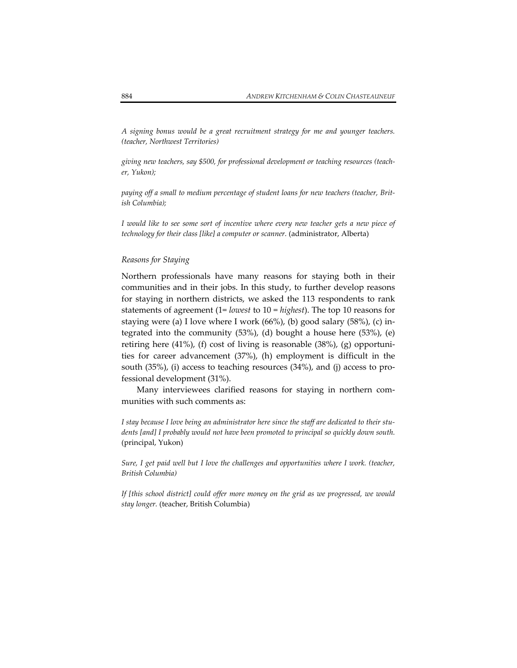*A signing bonus would be a great recruitment strategy for me and younger teachers. (teacher, Northwest Territories)*

*giving new teachers, say \$500, for professional development or teaching resources (teach‐ er, Yukon);*

*paying off a small to medium percentage of student loans for new teachers (teacher, Brit‐ ish Columbia);*

*I would like to see some sort of incentive where every new teacher gets a new piece of technology for their class [like] a computer or scanner.* (administrator, Alberta)

## *Reasons for Staying*

Northern professionals have many reasons for staying both in their communities and in their jobs. In this study, to further develop reasons for staying in northern districts, we asked the 113 respondents to rank statements of agreement (1= *lowest* to 10 = *highest*). The top 10 reasons for staying were (a) I love where I work (66%), (b) good salary (58%), (c) in‐ tegrated into the community (53%), (d) bought a house here (53%), (e) retiring here (41%), (f) cost of living is reasonable (38%), (g) opportuni‐ ties for career advancement (37%), (h) employment is difficult in the south (35%), (i) access to teaching resources (34%), and (j) access to pro‐ fessional development (31%).

Many interviewees clarified reasons for staying in northern com‐ munities with such comments as:

*I stay because I love being an administrator here since the staff are dedicated to their stu‐ dents [and] I probably would not have been promoted to principal so quickly down south.* (principal, Yukon)

*Sure, I get paid well but I love the challenges and opportunities where I work. (teacher, British Columbia)*

*If [this school district] could offer more money on the grid as we progressed, we would stay longer.* (teacher, British Columbia)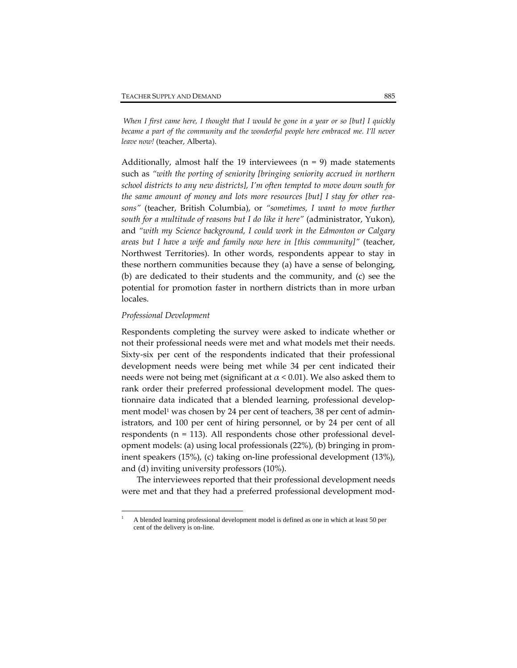When I first came here, I thought that I would be gone in a year or so [but] I quickly *became a part of the community and the wonderful people here embraced me. I'll never leave now!* (teacher, Alberta).

Additionally, almost half the 19 interviewees  $(n = 9)$  made statements such as *"with the porting of seniority [bringing seniority accrued in northern school districts to any new districts], I'm often tempted to move down south for the same amount of money and lots more resources [but] I stay for other rea‐ sons"* (teacher, British Columbia), or *"sometimes, I want to move further south for a multitude of reasons but I do like it here"* (administrator, Yukon), and *"with my Science background, I could work in the Edmonton or Calgary areas but I have a wife and family now here in [this community]"* (teacher, Northwest Territories). In other words, respondents appear to stay in these northern communities because they (a) have a sense of belonging, (b) are dedicated to their students and the community, and (c) see the potential for promotion faster in northern districts than in more urban locales.

## *Professional Development*

 $\overline{a}$ 

Respondents completing the survey were asked to indicate whether or not their professional needs were met and what models met their needs. Sixty‐six per cent of the respondents indicated that their professional development needs were being met while 34 per cent indicated their needs were not being met (significant at  $\alpha$  < 0.01). We also asked them to rank order their preferred professional development model. The questionnaire data indicated that a blended learning, professional develop‐ ment model<sup>1</sup> was chosen by 24 per cent of teachers, 38 per cent of administrators, and 100 per cent of hiring personnel, or by 24 per cent of all respondents ( $n = 113$ ). All respondents chose other professional development models: (a) using local professionals (22%), (b) bringing in prom‐ inent speakers (15%), (c) taking on‐line professional development (13%), and (d) inviting university professors (10%).

The interviewees reported that their professional development needs were met and that they had a preferred professional development mod-

<sup>1</sup> A blended learning professional development model is defined as one in which at least 50 per cent of the delivery is on-line.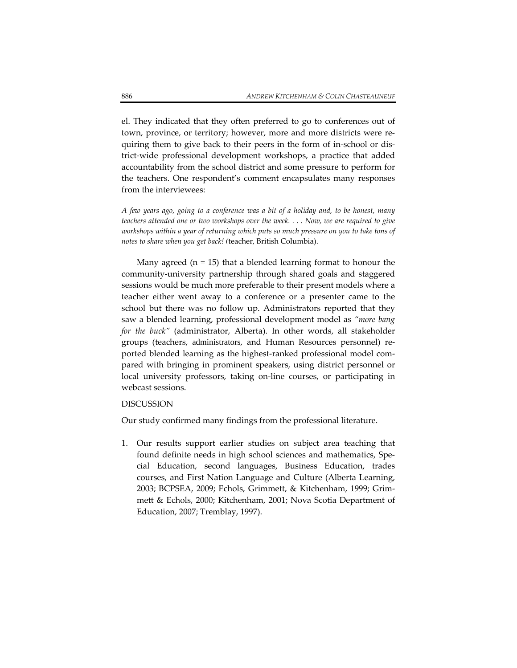el. They indicated that they often preferred to go to conferences out of town, province, or territory; however, more and more districts were re‐ quiring them to give back to their peers in the form of in‐school or dis‐ trict‐wide professional development workshops, a practice that added accountability from the school district and some pressure to perform for the teachers. One respondent's comment encapsulates many responses from the interviewees:

*A few years ago, going to a conference was a bit of a holiday and, to be honest, many teachers attended one or two workshops over the week. . . . Now, we are required to give workshops within a year of returning which puts so much pressure on you to take tons of notes to share when you get back! (*teacher, British Columbia).

Many agreed ( $n = 15$ ) that a blended learning format to honour the community‐university partnership through shared goals and staggered sessions would be much more preferable to their present models where a teacher either went away to a conference or a presenter came to the school but there was no follow up. Administrators reported that they saw a blended learning, professional development model as *"more bang for the buck"* (administrator, Alberta). In other words, all stakeholder groups (teachers, administrators, and Human Resources personnel) re‐ ported blended learning as the highest-ranked professional model compared with bringing in prominent speakers, using district personnel or local university professors, taking on‐line courses, or participating in webcast sessions.

## DISCUSSION

Our study confirmed many findings from the professional literature.

1. Our results support earlier studies on subject area teaching that found definite needs in high school sciences and mathematics, Special Education, second languages, Business Education, trades courses, and First Nation Language and Culture (Alberta Learning, 2003; BCPSEA, 2009; Echols, Grimmett, & Kitchenham, 1999; Grim‐ mett & Echols, 2000; Kitchenham, 2001; Nova Scotia Department of Education, 2007; Tremblay, 1997).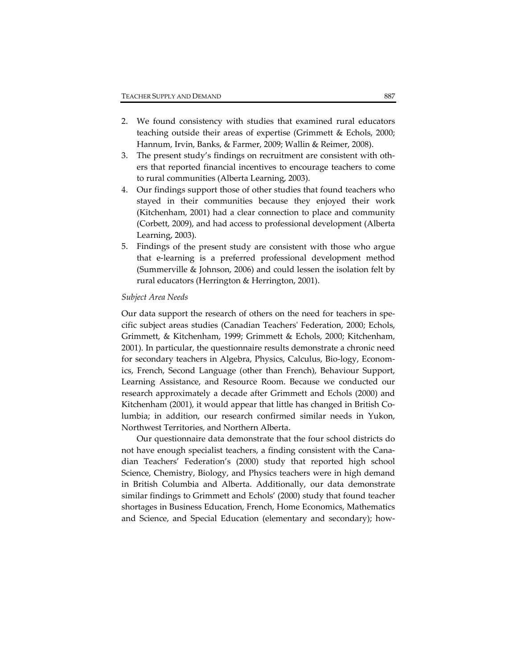- 2. We found consistency with studies that examined rural educators teaching outside their areas of expertise (Grimmett & Echols, 2000; Hannum, Irvin, Banks, & Farmer, 2009; Wallin & Reimer, 2008).
- 3. The present study's findings on recruitment are consistent with oth‐ ers that reported financial incentives to encourage teachers to come to rural communities (Alberta Learning, 2003).
- 4. Our findings support those of other studies that found teachers who stayed in their communities because they enjoyed their work (Kitchenham, 2001) had a clear connection to place and community (Corbett, 2009), and had access to professional development (Alberta Learning, 2003).
- 5. Findings of the present study are consistent with those who argue that e‐learning is a preferred professional development method (Summerville & Johnson, 2006) and could lessen the isolation felt by rural educators (Herrington & Herrington, 2001).

## *Subject Area Needs*

Our data support the research of others on the need for teachers in spe‐ cific subject areas studies (Canadian Teachersʹ Federation, 2000; Echols, Grimmett, & Kitchenham, 1999; Grimmett & Echols, 2000; Kitchenham, 2001). In particular, the questionnaire results demonstrate a chronic need for secondary teachers in Algebra, Physics, Calculus, Bio‐logy, Econom‐ ics, French, Second Language (other than French), Behaviour Support, Learning Assistance, and Resource Room. Because we conducted our research approximately a decade after Grimmett and Echols (2000) and Kitchenham (2001), it would appear that little has changed in British Co‐ lumbia; in addition, our research confirmed similar needs in Yukon, Northwest Territories, and Northern Alberta.

Our questionnaire data demonstrate that the four school districts do not have enough specialist teachers, a finding consistent with the Canadian Teachers' Federation's (2000) study that reported high school Science, Chemistry, Biology, and Physics teachers were in high demand in British Columbia and Alberta. Additionally, our data demonstrate similar findings to Grimmett and Echols' (2000) study that found teacher shortages in Business Education, French, Home Economics, Mathematics and Science, and Special Education (elementary and secondary); how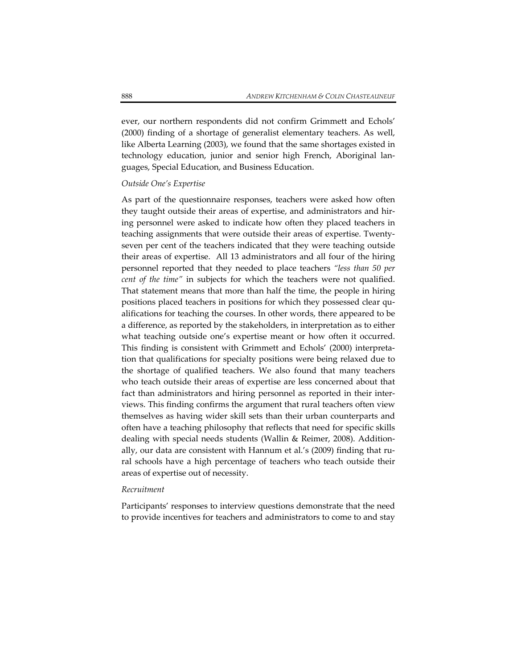ever, our northern respondents did not confirm Grimmett and Echols' (2000) finding of a shortage of generalist elementary teachers. As well, like Alberta Learning (2003), we found that the same shortages existed in technology education, junior and senior high French, Aboriginal lan‐ guages, Special Education, and Business Education.

#### *Outside One's Expertise*

As part of the questionnaire responses, teachers were asked how often they taught outside their areas of expertise, and administrators and hir‐ ing personnel were asked to indicate how often they placed teachers in teaching assignments that were outside their areas of expertise. Twenty‐ seven per cent of the teachers indicated that they were teaching outside their areas of expertise. All 13 administrators and all four of the hiring personnel reported that they needed to place teachers *"less than 50 per cent of the time"* in subjects for which the teachers were not qualified. That statement means that more than half the time, the people in hiring positions placed teachers in positions for which they possessed clear qu‐ alifications for teaching the courses. In other words, there appeared to be a difference, as reported by the stakeholders, in interpretation as to either what teaching outside one's expertise meant or how often it occurred. This finding is consistent with Grimmett and Echols' (2000) interpreta‐ tion that qualifications for specialty positions were being relaxed due to the shortage of qualified teachers. We also found that many teachers who teach outside their areas of expertise are less concerned about that fact than administrators and hiring personnel as reported in their interviews. This finding confirms the argument that rural teachers often view themselves as having wider skill sets than their urban counterparts and often have a teaching philosophy that reflects that need for specific skills dealing with special needs students (Wallin & Reimer, 2008). Addition‐ ally, our data are consistent with Hannum et al.'s (2009) finding that ru‐ ral schools have a high percentage of teachers who teach outside their areas of expertise out of necessity.

#### *Recruitment*

Participants' responses to interview questions demonstrate that the need to provide incentives for teachers and administrators to come to and stay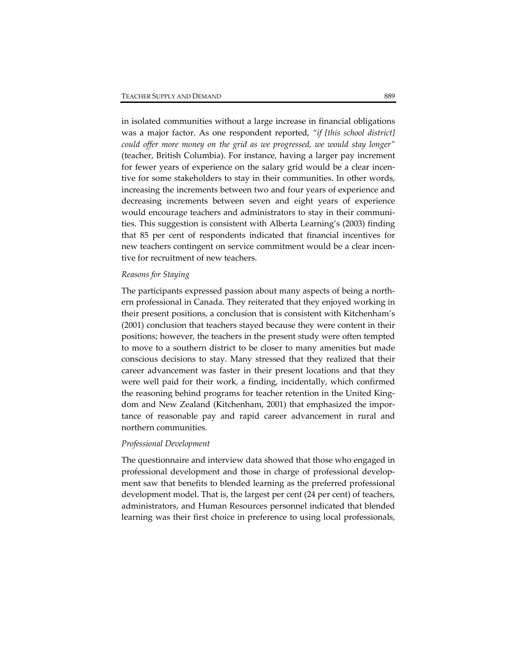in isolated communities without a large increase in financial obligations was a major factor. As one respondent reported, *"if [this school district] could offer more money on the grid as we progressed, we would stay longer"* (teacher, British Columbia). For instance, having a larger pay increment for fewer years of experience on the salary grid would be a clear incentive for some stakeholders to stay in their communities. In other words, increasing the increments between two and four years of experience and decreasing increments between seven and eight years of experience would encourage teachers and administrators to stay in their communi‐ ties. This suggestion is consistent with Alberta Learning's (2003) finding that 85 per cent of respondents indicated that financial incentives for new teachers contingent on service commitment would be a clear incentive for recruitment of new teachers.

# *Reasons for Staying*

The participants expressed passion about many aspects of being a north‐ ern professional in Canada. They reiterated that they enjoyed working in their present positions, a conclusion that is consistent with Kitchenham's (2001) conclusion that teachers stayed because they were content in their positions; however, the teachers in the present study were often tempted to move to a southern district to be closer to many amenities but made conscious decisions to stay. Many stressed that they realized that their career advancement was faster in their present locations and that they were well paid for their work, a finding, incidentally, which confirmed the reasoning behind programs for teacher retention in the United Kingdom and New Zealand (Kitchenham, 2001) that emphasized the impor‐ tance of reasonable pay and rapid career advancement in rural and northern communities.

#### *Professional Development*

The questionnaire and interview data showed that those who engaged in professional development and those in charge of professional development saw that benefits to blended learning as the preferred professional development model. That is, the largest per cent (24 per cent) of teachers, administrators, and Human Resources personnel indicated that blended learning was their first choice in preference to using local professionals,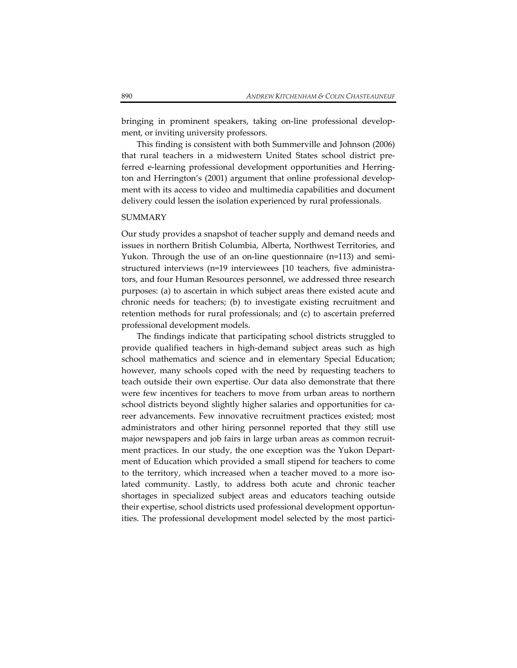bringing in prominent speakers, taking on‐line professional develop‐ ment, or inviting university professors.

This finding is consistent with both Summerville and Johnson (2006) that rural teachers in a midwestern United States school district pre‐ ferred e-learning professional development opportunities and Herrington and Herrington's (2001) argument that online professional develop‐ ment with its access to video and multimedia capabilities and document delivery could lessen the isolation experienced by rural professionals.

#### **SUMMARY**

Our study provides a snapshot of teacher supply and demand needs and issues in northern British Columbia, Alberta, Northwest Territories, and Yukon. Through the use of an on-line questionnaire  $(n=113)$  and semistructured interviews (n=19 interviewees [10 teachers, five administrators, and four Human Resources personnel, we addressed three research purposes: (a) to ascertain in which subject areas there existed acute and chronic needs for teachers; (b) to investigate existing recruitment and retention methods for rural professionals; and (c) to ascertain preferred professional development models.

The findings indicate that participating school districts struggled to provide qualified teachers in high‐demand subject areas such as high school mathematics and science and in elementary Special Education; however, many schools coped with the need by requesting teachers to teach outside their own expertise. Our data also demonstrate that there were few incentives for teachers to move from urban areas to northern school districts beyond slightly higher salaries and opportunities for ca‐ reer advancements. Few innovative recruitment practices existed; most administrators and other hiring personnel reported that they still use major newspapers and job fairs in large urban areas as common recruitment practices. In our study, the one exception was the Yukon Department of Education which provided a small stipend for teachers to come to the territory, which increased when a teacher moved to a more isolated community. Lastly, to address both acute and chronic teacher shortages in specialized subject areas and educators teaching outside their expertise, school districts used professional development opportun‐ ities. The professional development model selected by the most partici-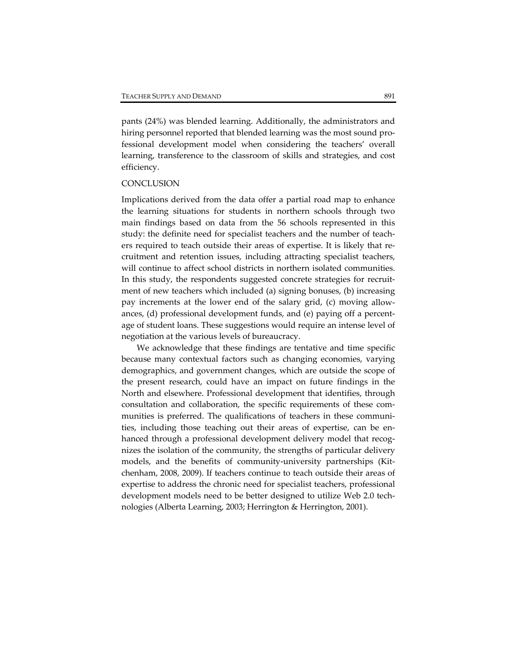pants (24%) was blended learning. Additionally, the administrators and hiring personnel reported that blended learning was the most sound pro‐ fessional development model when considering the teachers' overall learning, transference to the classroom of skills and strategies, and cost efficiency.

## **CONCLUSION**

Implications derived from the data offer a partial road map to enhance the learning situations for students in northern schools through two main findings based on data from the 56 schools represented in this study: the definite need for specialist teachers and the number of teachers required to teach outside their areas of expertise. It is likely that recruitment and retention issues, including attracting specialist teachers, will continue to affect school districts in northern isolated communities. In this study, the respondents suggested concrete strategies for recruit ment of new teachers which included (a) signing bonuses, (b) increasing pay increments at the lower end of the salary grid, (c) moving allow‐ ances, (d) professional development funds, and (e) paying off a percent‐ age of student loans. These suggestions would require an intense level of negotiation at the various levels of bureaucracy.

We acknowledge that these findings are tentative and time specific because many contextual factors such as changing economies, varying demographics, and government changes, which are outside the scope of the present research, could have an impact on future findings in the North and elsewhere. Professional development that identifies, through consultation and collaboration, the specific requirements of these com‐ munities is preferred. The qualifications of teachers in these communities, including those teaching out their areas of expertise, can be enhanced through a professional development delivery model that recognizes the isolation of the community, the strengths of particular delivery models, and the benefits of community-university partnerships (Kitchenham, 2008, 2009). If teachers continue to teach outside their areas of expertise to address the chronic need for specialist teachers, professional development models need to be better designed to utilize Web 2.0 technologies (Alberta Learning, 2003; Herrington & Herrington, 2001).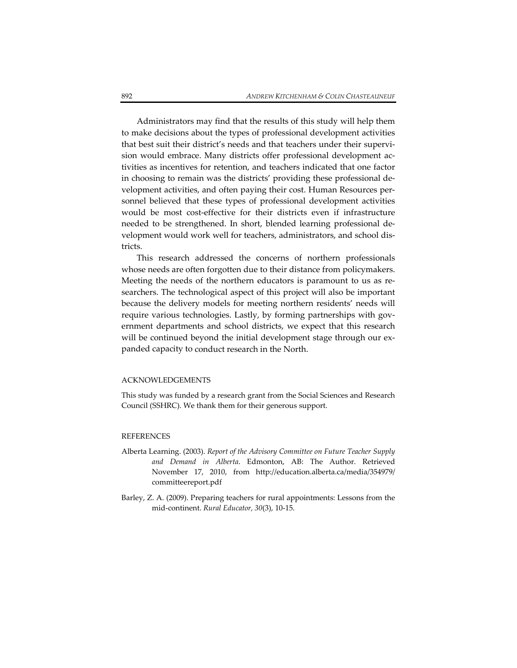Administrators may find that the results of this study will help them to make decisions about the types of professional development activities that best suit their district's needs and that teachers under their supervision would embrace. Many districts offer professional development ac‐ tivities as incentives for retention, and teachers indicated that one factor in choosing to remain was the districts' providing these professional de‐ velopment activities, and often paying their cost. Human Resources per‐ sonnel believed that these types of professional development activities would be most cost‐effective for their districts even if infrastructure needed to be strengthened. In short, blended learning professional de‐ velopment would work well for teachers, administrators, and school dis‐ tricts.

This research addressed the concerns of northern professionals whose needs are often forgotten due to their distance from policymakers. Meeting the needs of the northern educators is paramount to us as re‐ searchers. The technological aspect of this project will also be important because the delivery models for meeting northern residents' needs will require various technologies. Lastly, by forming partnerships with government departments and school districts, we expect that this research will be continued beyond the initial development stage through our expanded capacity to conduct research in the North.

## ACKNOWLEDGEMENTS

This study was funded by a research grant from the Social Sciences and Research Council (SSHRC). We thank them for their generous support.

## REFERENCES

- Alberta Learning. (2003). *Report of the Advisory Committee on Future Teacher Supply and Demand in Alberta*. Edmonton, AB: The Author. Retrieved November 17, 2010, from http://education.alberta.ca/media/354979/ committeereport.pdf
- Barley, Z. A. (2009). Preparing teachers for rural appointments: Lessons from the mid‐continent. *Rural Educator, 30*(3), 10‐15.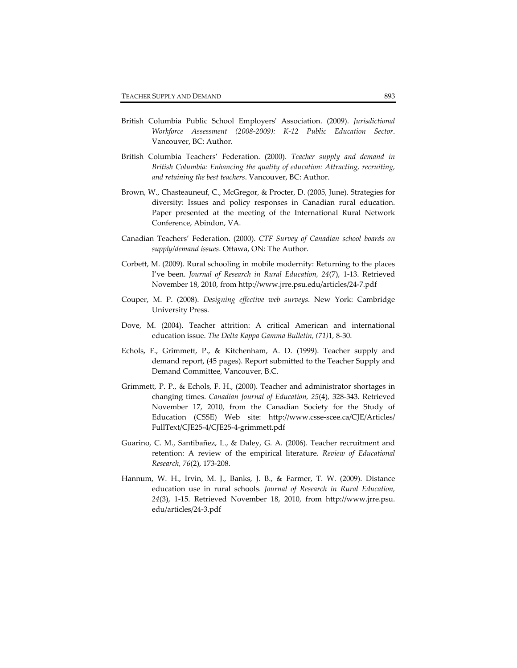- British Columbia Public School Employersʹ Association. (2009). *Jurisdictional Workforce Assessment (2008‐2009): K‐12 Public Education Sector*. Vancouver, BC: Author.
- British Columbia Teachers' Federation. (2000). *Teacher supply and demand in British Columbia: Enhancing the quality of education: Attracting, recruiting, and retaining the best teachers*. Vancouver, BC: Author.
- Brown, W., Chasteauneuf, C., McGregor, & Procter, D. (2005, June). Strategies for diversity: Issues and policy responses in Canadian rural education. Paper presented at the meeting of the International Rural Network Conference, Abindon, VA.
- Canadian Teachers' Federation. (2000). *CTF Survey of Canadian school boards on supply/demand issues*. Ottawa, ON: The Author.
- Corbett, M. (2009). Rural schooling in mobile modernity: Returning to the places I've been. *Journal of Research in Rural Education, 24*(7), 1‐13. Retrieved November 18, 2010, from http://www.jrre.psu.edu/articles/24‐7.pdf
- Couper, M. P. (2008). *Designing effective web surveys*. New York: Cambridge University Press.
- Dove, M. (2004). Teacher attrition: A critical American and international education issue. *The Delta Kappa Gamma Bulletin, (71)*1*,* 8‐30.
- Echols, F., Grimmett, P., & Kitchenham, A. D. (1999). Teacher supply and demand report, (45 pages). Report submitted to the Teacher Supply and Demand Committee, Vancouver, B.C.
- Grimmett, P. P., & Echols, F. H., (2000). Teacher and administrator shortages in changing times. *Canadian Journal of Education, 25*(4)*,* 328‐343. Retrieved November 17, 2010, from the Canadian Society for the Study of Education (CSSE) Web site: http://www.csse‐scee.ca/CJE/Articles/ FullText/CJE25‐4/CJE25‐4‐grimmett.pdf
- Guarino, C. M., Santibañez, L., & Daley, G. A. (2006). Teacher recruitment and retention: A review of the empirical literature. *Review of Educational Research, 76*(2), 173‐208.
- Hannum, W. H., Irvin, M. J., Banks, J. B., & Farmer, T. W. (2009). Distance education use in rural schools. *Journal of Research in Rural Education, 24*(3), 1‐15. Retrieved November 18, 2010, from http://www.jrre.psu. edu/articles/24‐3.pdf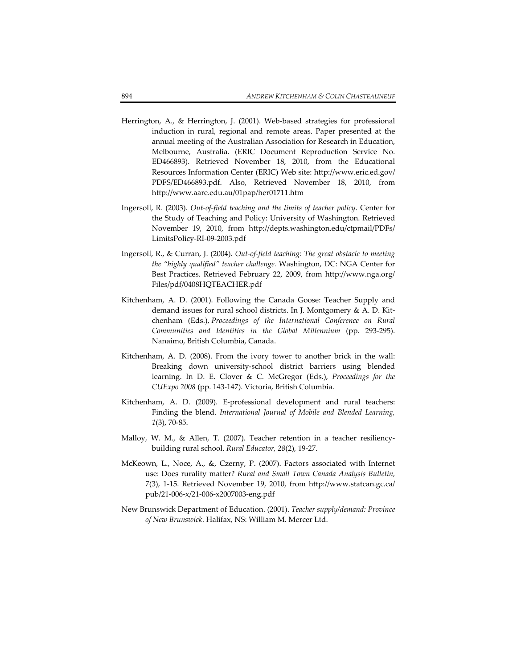- Herrington, A., & Herrington, J. (2001). Web-based strategies for professional induction in rural, regional and remote areas. Paper presented at the annual meeting of the Australian Association for Research in Education, Melbourne, Australia. (ERIC Document Reproduction Service No. ED466893). Retrieved November 18, 2010, from the Educational Resources Information Center (ERIC) Web site: http://www.eric.ed.gov/ PDFS/ED466893.pdf. Also, Retrieved November 18, 2010, from http://www.aare.edu.au/01pap/her01711.htm
- Ingersoll, R. (2003). *Out‐of‐field teaching and the limits of teacher policy*. Center for the Study of Teaching and Policy: University of Washington. Retrieved November 19, 2010, from http://depts.washington.edu/ctpmail/PDFs/ LimitsPolicy‐RI‐09‐2003.pdf
- Ingersoll, R., & Curran, J. (2004). *Out‐of‐field teaching: The great obstacle to meeting the "highly qualified" teacher challenge.* Washington, DC: NGA Center for Best Practices. Retrieved February 22, 2009, from http://www.nga.org/ Files/pdf/0408HQTEACHER.pdf
- Kitchenham, A. D. (2001). Following the Canada Goose: Teacher Supply and demand issues for rural school districts. In J. Montgomery & A. D. Kit‐ chenham (Eds.), *Proceedings of the International Conference on Rural Communities and Identities in the Global Millennium* (pp. 293‐295). Nanaimo, British Columbia, Canada.
- Kitchenham, A. D. (2008). From the ivory tower to another brick in the wall: Breaking down university‐school district barriers using blended learning. In D. E. Clover & C. McGregor (Eds.), *Proceedings for the CUExpo 2008* (pp. 143‐147). Victoria, British Columbia.
- Kitchenham, A. D. (2009). E‐professional development and rural teachers: Finding the blend. *International Journal of Mobile and Blended Learning, 1*(3), 70‐85.
- Malloy, W. M., & Allen, T. (2007). Teacher retention in a teacher resiliencybuilding rural school. *Rural Educator, 28*(2), 19‐27.
- McKeown, L., Noce, A., &, Czerny, P. (2007). Factors associated with Internet use: Does rurality matter? *Rural and Small Town Canada Analysis Bulletin, 7*(3), 1‐15. Retrieved November 19, 2010, from http://www.statcan.gc.ca/ pub/21‐006‐x/21‐006‐x2007003‐eng.pdf
- New Brunswick Department of Education. (2001). *Teacher supply/demand: Province of New Brunswick*. Halifax, NS: William M. Mercer Ltd.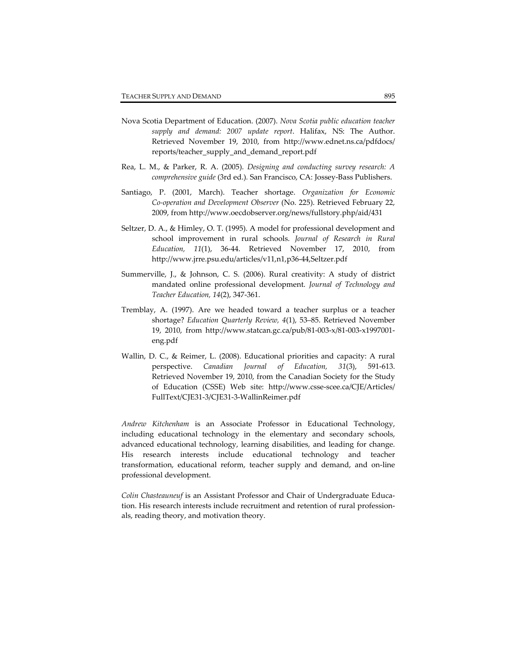- Nova Scotia Department of Education. (2007). *Nova Scotia public education teacher supply and demand: 2007 update report*. Halifax, NS: The Author. Retrieved November 19, 2010, from http://www.ednet.ns.ca/pdfdocs/ reports/teacher\_supply\_and\_demand\_report.pdf
- Rea, L. M., & Parker, R. A. (2005). *Designing and conducting survey research: A comprehensive guide* (3rd ed.)*.* San Francisco, CA: Jossey‐Bass Publishers.
- Santiago, P. (2001, March). Teacher shortage. *Organization for Economic Co‐operation and Development Observer* (No. 225). Retrieved February 22, 2009, from http://www.oecdobserver.org/news/fullstory.php/aid/431
- Seltzer, D. A., & Himley, O. T. (1995). A model for professional development and school improvement in rural schools. *Journal of Research in Rural Education, 11*(1), 36‐44. Retrieved November 17, 2010, from http://www.jrre.psu.edu/articles/v11,n1,p36‐44,Seltzer.pdf
- Summerville, J., & Johnson, C. S. (2006). Rural creativity: A study of district mandated online professional development. *Journal of Technology and Teacher Education, 14*(2), 347‐361.
- Tremblay, A. (1997). Are we headed toward a teacher surplus or a teacher shortage? *Education Quarterly Review, 4*(1), 53–85. Retrieved November 19, 2010, from http://www.statcan.gc.ca/pub/81‐003‐x/81‐003‐x1997001‐ eng.pdf
- Wallin, D. C., & Reimer, L. (2008). Educational priorities and capacity: A rural perspective. *Canadian Journal of Education, 31*(3), 591‐613. Retrieved November 19, 2010, from the Canadian Society for the Study of Education (CSSE) Web site: http://www.csse‐scee.ca/CJE/Articles/ FullText/CJE31‐3/CJE31‐3‐WallinReimer.pdf

*Andrew Kitchenham* is an Associate Professor in Educational Technology, including educational technology in the elementary and secondary schools, advanced educational technology, learning disabilities, and leading for change. His research interests include educational technology and teacher transformation, educational reform, teacher supply and demand, and on‐line professional development.

*Colin Chasteauneuf* is an Assistant Professor and Chair of Undergraduate Educa‐ tion. His research interests include recruitment and retention of rural professionals, reading theory, and motivation theory.